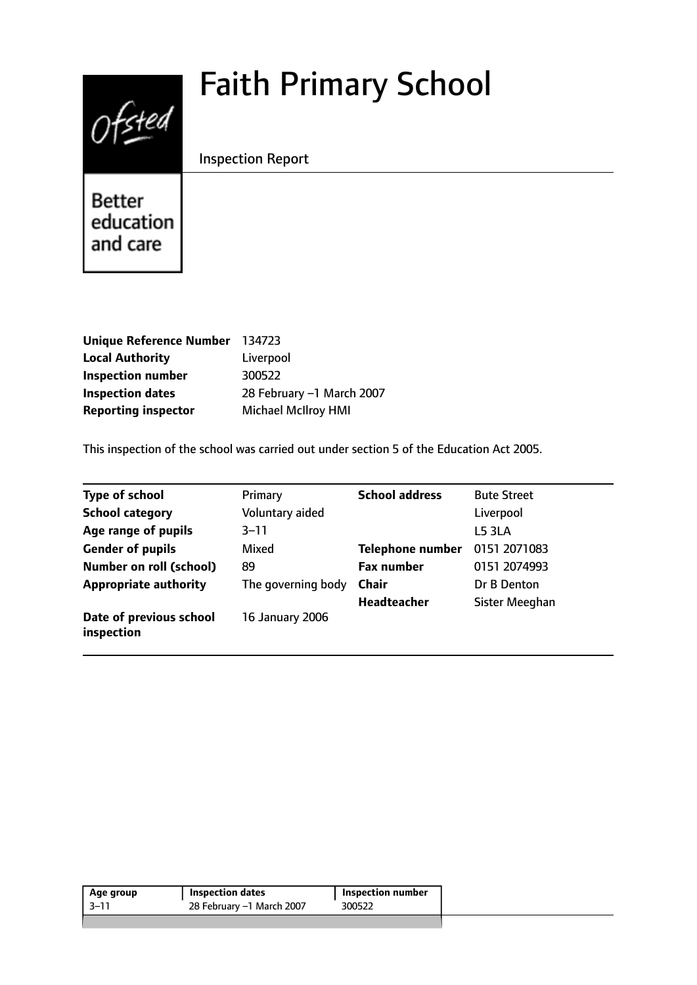# Faith Primary School



Inspection Report

**Better** education and care

| Unique Reference Number 134723 |                            |
|--------------------------------|----------------------------|
| <b>Local Authority</b>         | Liverpool                  |
| <b>Inspection number</b>       | 300522                     |
| <b>Inspection dates</b>        | 28 February -1 March 2007  |
| <b>Reporting inspector</b>     | <b>Michael McIlroy HMI</b> |

This inspection of the school was carried out under section 5 of the Education Act 2005.

| <b>Type of school</b>                 | Primary            | <b>School address</b>   | <b>Bute Street</b> |
|---------------------------------------|--------------------|-------------------------|--------------------|
| <b>School category</b>                | Voluntary aided    |                         | Liverpool          |
| Age range of pupils                   | $3 - 11$           |                         | L5 3LA             |
| <b>Gender of pupils</b>               | Mixed              | <b>Telephone number</b> | 0151 2071083       |
| <b>Number on roll (school)</b>        | 89                 | <b>Fax number</b>       | 0151 2074993       |
| <b>Appropriate authority</b>          | The governing body | <b>Chair</b>            | Dr B Denton        |
|                                       |                    | <b>Headteacher</b>      | Sister Meeghan     |
| Date of previous school<br>inspection | 16 January 2006    |                         |                    |

| Age group | Inspection dates          | Inspection number |
|-----------|---------------------------|-------------------|
| $3 - 11$  | 28 February -1 March 2007 | 300522            |
|           |                           |                   |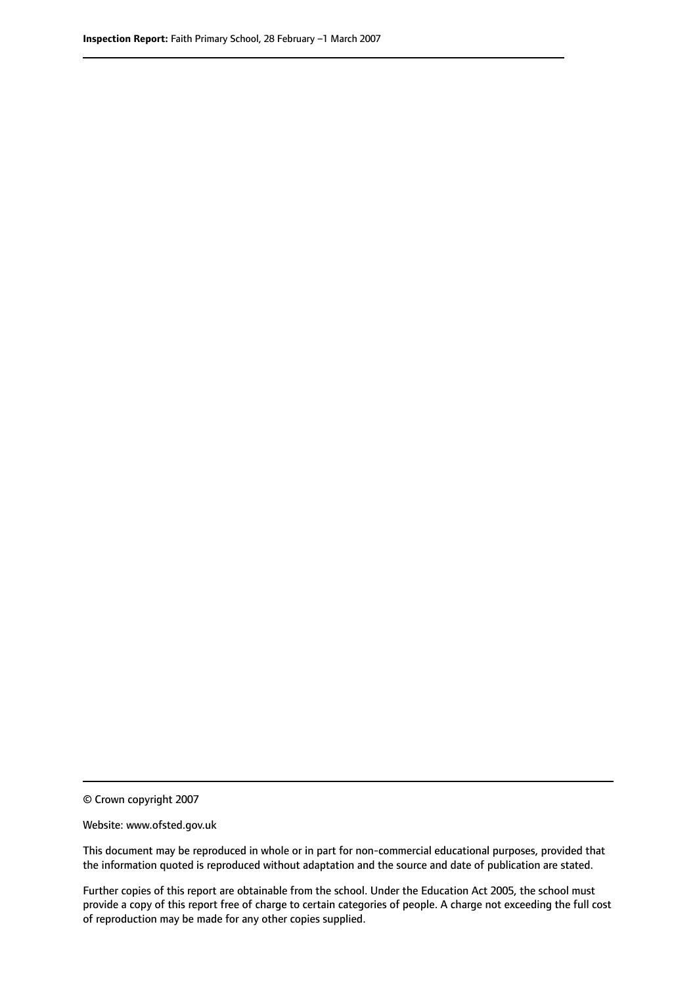© Crown copyright 2007

Website: www.ofsted.gov.uk

This document may be reproduced in whole or in part for non-commercial educational purposes, provided that the information quoted is reproduced without adaptation and the source and date of publication are stated.

Further copies of this report are obtainable from the school. Under the Education Act 2005, the school must provide a copy of this report free of charge to certain categories of people. A charge not exceeding the full cost of reproduction may be made for any other copies supplied.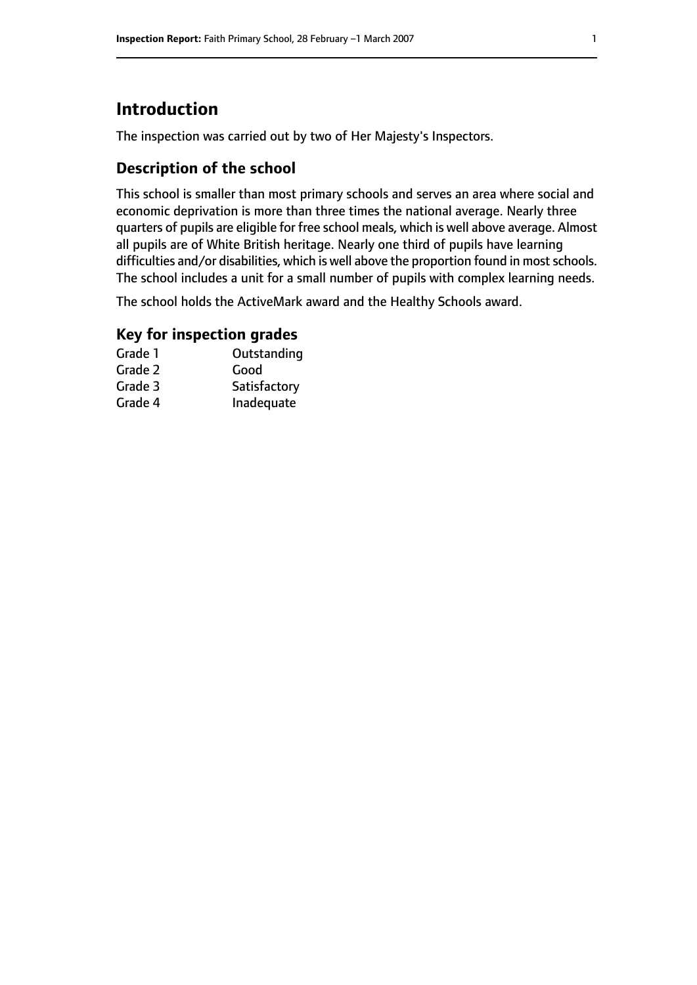# **Introduction**

The inspection was carried out by two of Her Majesty's Inspectors.

## **Description of the school**

This school is smaller than most primary schools and serves an area where social and economic deprivation is more than three times the national average. Nearly three quarters of pupils are eligible for free school meals, which is well above average. Almost all pupils are of White British heritage. Nearly one third of pupils have learning difficulties and/or disabilities, which is well above the proportion found in most schools. The school includes a unit for a small number of pupils with complex learning needs.

The school holds the ActiveMark award and the Healthy Schools award.

## **Key for inspection grades**

| Grade 1 | Outstanding  |
|---------|--------------|
| Grade 2 | Good         |
| Grade 3 | Satisfactory |
| Grade 4 | Inadequate   |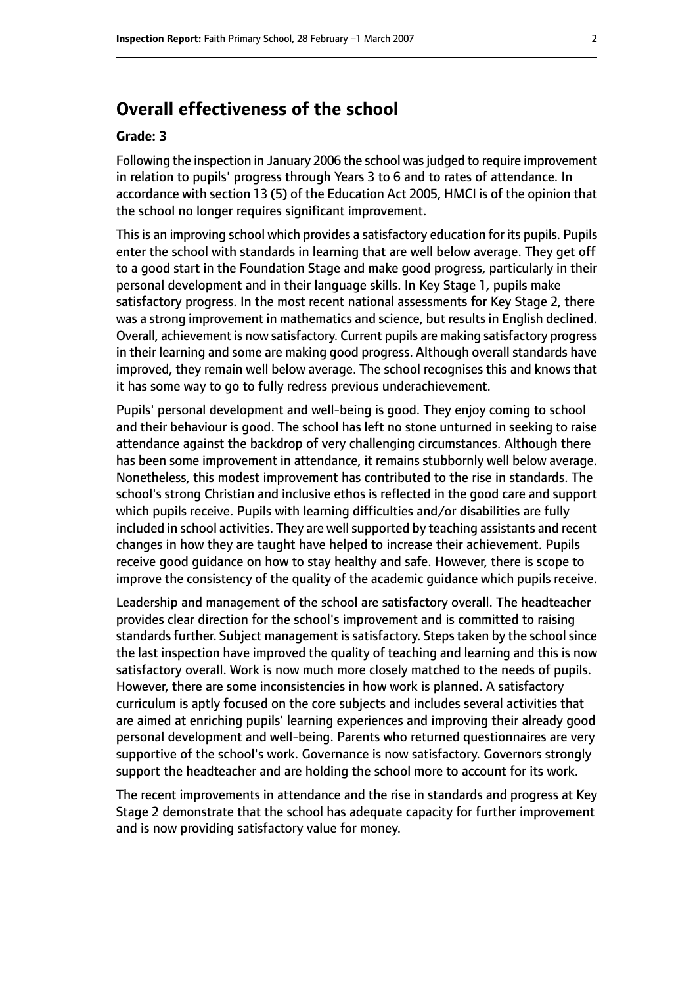## **Overall effectiveness of the school**

#### **Grade: 3**

Following the inspection in January 2006 the school was judged to require improvement in relation to pupils' progress through Years 3 to 6 and to rates of attendance. In accordance with section 13 (5) of the Education Act 2005, HMCI is of the opinion that the school no longer requires significant improvement.

This is an improving school which provides a satisfactory education for its pupils. Pupils enter the school with standards in learning that are well below average. They get off to a good start in the Foundation Stage and make good progress, particularly in their personal development and in their language skills. In Key Stage 1, pupils make satisfactory progress. In the most recent national assessments for Key Stage 2, there was a strong improvement in mathematics and science, but results in English declined. Overall, achievement is now satisfactory. Current pupils are making satisfactory progress in their learning and some are making good progress. Although overall standards have improved, they remain well below average. The school recognises this and knows that it has some way to go to fully redress previous underachievement.

Pupils' personal development and well-being is good. They enjoy coming to school and their behaviour is good. The school has left no stone unturned in seeking to raise attendance against the backdrop of very challenging circumstances. Although there has been some improvement in attendance, it remains stubbornly well below average. Nonetheless, this modest improvement has contributed to the rise in standards. The school's strong Christian and inclusive ethos is reflected in the good care and support which pupils receive. Pupils with learning difficulties and/or disabilities are fully included in school activities. They are wellsupported by teaching assistants and recent changes in how they are taught have helped to increase their achievement. Pupils receive good guidance on how to stay healthy and safe. However, there is scope to improve the consistency of the quality of the academic guidance which pupils receive.

Leadership and management of the school are satisfactory overall. The headteacher provides clear direction for the school's improvement and is committed to raising standards further. Subject management is satisfactory. Steps taken by the school since the last inspection have improved the quality of teaching and learning and this is now satisfactory overall. Work is now much more closely matched to the needs of pupils. However, there are some inconsistencies in how work is planned. A satisfactory curriculum is aptly focused on the core subjects and includes several activities that are aimed at enriching pupils' learning experiences and improving their already good personal development and well-being. Parents who returned questionnaires are very supportive of the school's work. Governance is now satisfactory. Governors strongly support the headteacher and are holding the school more to account for its work.

The recent improvements in attendance and the rise in standards and progress at Key Stage 2 demonstrate that the school has adequate capacity for further improvement and is now providing satisfactory value for money.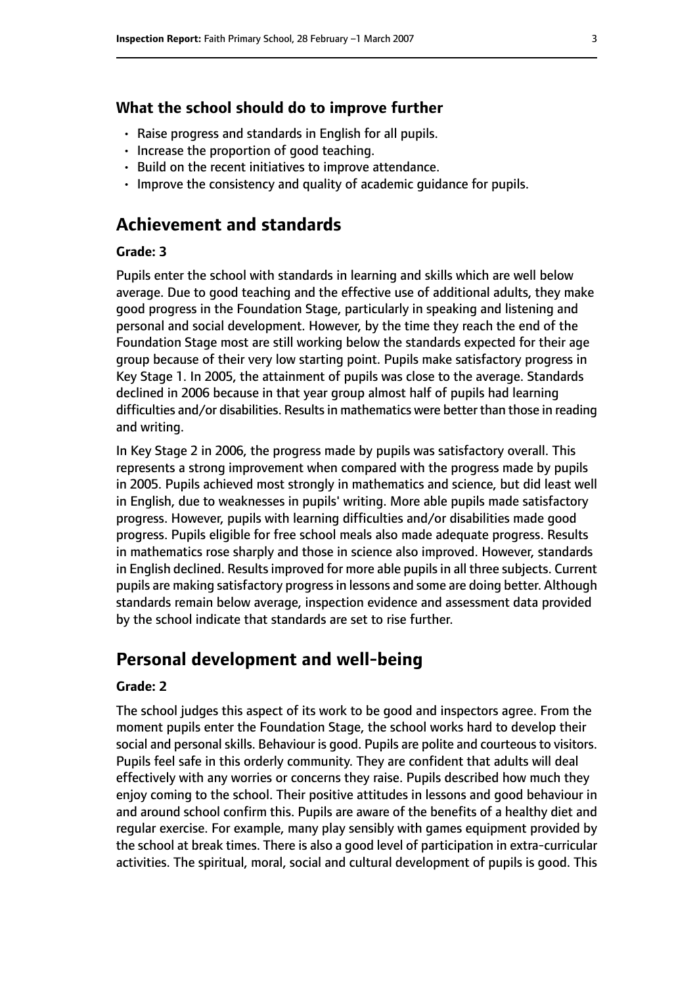#### **What the school should do to improve further**

- Raise progress and standards in English for all pupils.
- Increase the proportion of good teaching.
- Build on the recent initiatives to improve attendance.
- Improve the consistency and quality of academic guidance for pupils.

## **Achievement and standards**

#### **Grade: 3**

Pupils enter the school with standards in learning and skills which are well below average. Due to good teaching and the effective use of additional adults, they make good progress in the Foundation Stage, particularly in speaking and listening and personal and social development. However, by the time they reach the end of the Foundation Stage most are still working below the standards expected for their age group because of their very low starting point. Pupils make satisfactory progress in Key Stage 1. In 2005, the attainment of pupils was close to the average. Standards declined in 2006 because in that year group almost half of pupils had learning difficulties and/or disabilities. Results in mathematics were better than those in reading and writing.

In Key Stage 2 in 2006, the progress made by pupils was satisfactory overall. This represents a strong improvement when compared with the progress made by pupils in 2005. Pupils achieved most strongly in mathematics and science, but did least well in English, due to weaknesses in pupils' writing. More able pupils made satisfactory progress. However, pupils with learning difficulties and/or disabilities made good progress. Pupils eligible for free school meals also made adequate progress. Results in mathematics rose sharply and those in science also improved. However, standards in English declined. Results improved for more able pupils in all three subjects. Current pupils are making satisfactory progressin lessons and some are doing better. Although standards remain below average, inspection evidence and assessment data provided by the school indicate that standards are set to rise further.

### **Personal development and well-being**

#### **Grade: 2**

The school judges this aspect of its work to be good and inspectors agree. From the moment pupils enter the Foundation Stage, the school works hard to develop their social and personal skills. Behaviour is good. Pupils are polite and courteous to visitors. Pupils feel safe in this orderly community. They are confident that adults will deal effectively with any worries or concerns they raise. Pupils described how much they enjoy coming to the school. Their positive attitudes in lessons and good behaviour in and around school confirm this. Pupils are aware of the benefits of a healthy diet and regular exercise. For example, many play sensibly with games equipment provided by the school at break times. There is also a good level of participation in extra-curricular activities. The spiritual, moral, social and cultural development of pupils is good. This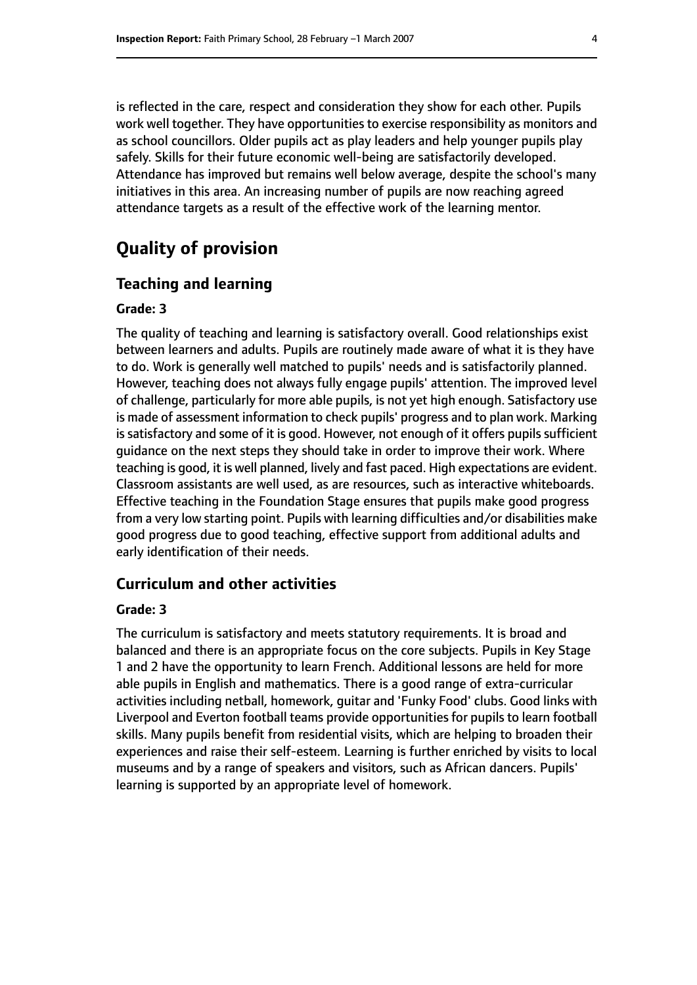is reflected in the care, respect and consideration they show for each other. Pupils work well together. They have opportunities to exercise responsibility as monitors and as school councillors. Older pupils act as play leaders and help younger pupils play safely. Skills for their future economic well-being are satisfactorily developed. Attendance has improved but remains well below average, despite the school's many initiatives in this area. An increasing number of pupils are now reaching agreed attendance targets as a result of the effective work of the learning mentor.

## **Quality of provision**

#### **Teaching and learning**

#### **Grade: 3**

The quality of teaching and learning is satisfactory overall. Good relationships exist between learners and adults. Pupils are routinely made aware of what it is they have to do. Work is generally well matched to pupils' needs and is satisfactorily planned. However, teaching does not always fully engage pupils' attention. The improved level of challenge, particularly for more able pupils, is not yet high enough. Satisfactory use is made of assessment information to check pupils' progress and to plan work. Marking is satisfactory and some of it is good. However, not enough of it offers pupils sufficient guidance on the next steps they should take in order to improve their work. Where teaching is good, it is well planned, lively and fast paced. High expectations are evident. Classroom assistants are well used, as are resources, such as interactive whiteboards. Effective teaching in the Foundation Stage ensures that pupils make good progress from a very low starting point. Pupils with learning difficulties and/or disabilities make good progress due to good teaching, effective support from additional adults and early identification of their needs.

## **Curriculum and other activities**

#### **Grade: 3**

The curriculum is satisfactory and meets statutory requirements. It is broad and balanced and there is an appropriate focus on the core subjects. Pupils in Key Stage 1 and 2 have the opportunity to learn French. Additional lessons are held for more able pupils in English and mathematics. There is a good range of extra-curricular activities including netball, homework, guitar and 'Funky Food' clubs. Good links with Liverpool and Everton football teams provide opportunities for pupils to learn football skills. Many pupils benefit from residential visits, which are helping to broaden their experiences and raise their self-esteem. Learning is further enriched by visits to local museums and by a range of speakers and visitors, such as African dancers. Pupils' learning is supported by an appropriate level of homework.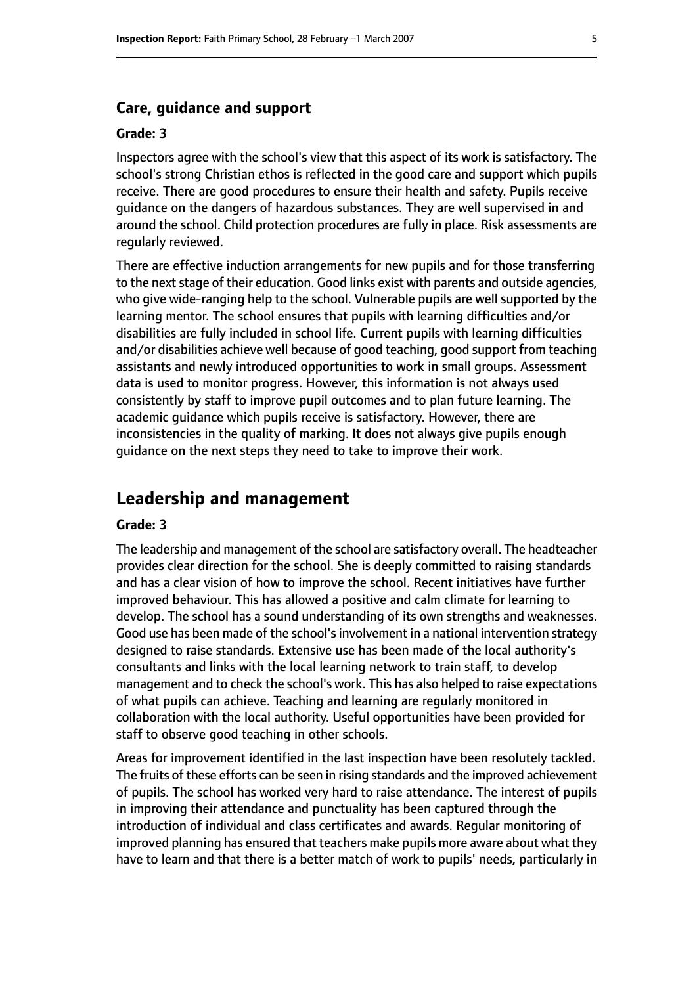#### **Care, guidance and support**

#### **Grade: 3**

Inspectors agree with the school's view that this aspect of its work is satisfactory. The school's strong Christian ethos is reflected in the good care and support which pupils receive. There are good procedures to ensure their health and safety. Pupils receive guidance on the dangers of hazardous substances. They are well supervised in and around the school. Child protection procedures are fully in place. Risk assessments are regularly reviewed.

There are effective induction arrangements for new pupils and for those transferring to the next stage of their education. Good links exist with parents and outside agencies, who give wide-ranging help to the school. Vulnerable pupils are well supported by the learning mentor. The school ensures that pupils with learning difficulties and/or disabilities are fully included in school life. Current pupils with learning difficulties and/or disabilities achieve well because of good teaching, good support from teaching assistants and newly introduced opportunities to work in small groups. Assessment data is used to monitor progress. However, this information is not always used consistently by staff to improve pupil outcomes and to plan future learning. The academic guidance which pupils receive is satisfactory. However, there are inconsistencies in the quality of marking. It does not always give pupils enough guidance on the next steps they need to take to improve their work.

#### **Leadership and management**

#### **Grade: 3**

The leadership and management of the school are satisfactory overall. The headteacher provides clear direction for the school. She is deeply committed to raising standards and has a clear vision of how to improve the school. Recent initiatives have further improved behaviour. This has allowed a positive and calm climate for learning to develop. The school has a sound understanding of its own strengths and weaknesses. Good use has been made of the school'sinvolvement in a national intervention strategy designed to raise standards. Extensive use has been made of the local authority's consultants and links with the local learning network to train staff, to develop management and to check the school's work. This has also helped to raise expectations of what pupils can achieve. Teaching and learning are regularly monitored in collaboration with the local authority. Useful opportunities have been provided for staff to observe good teaching in other schools.

Areas for improvement identified in the last inspection have been resolutely tackled. The fruits of these efforts can be seen in rising standards and the improved achievement of pupils. The school has worked very hard to raise attendance. The interest of pupils in improving their attendance and punctuality has been captured through the introduction of individual and class certificates and awards. Regular monitoring of improved planning has ensured that teachers make pupils more aware about what they have to learn and that there is a better match of work to pupils' needs, particularly in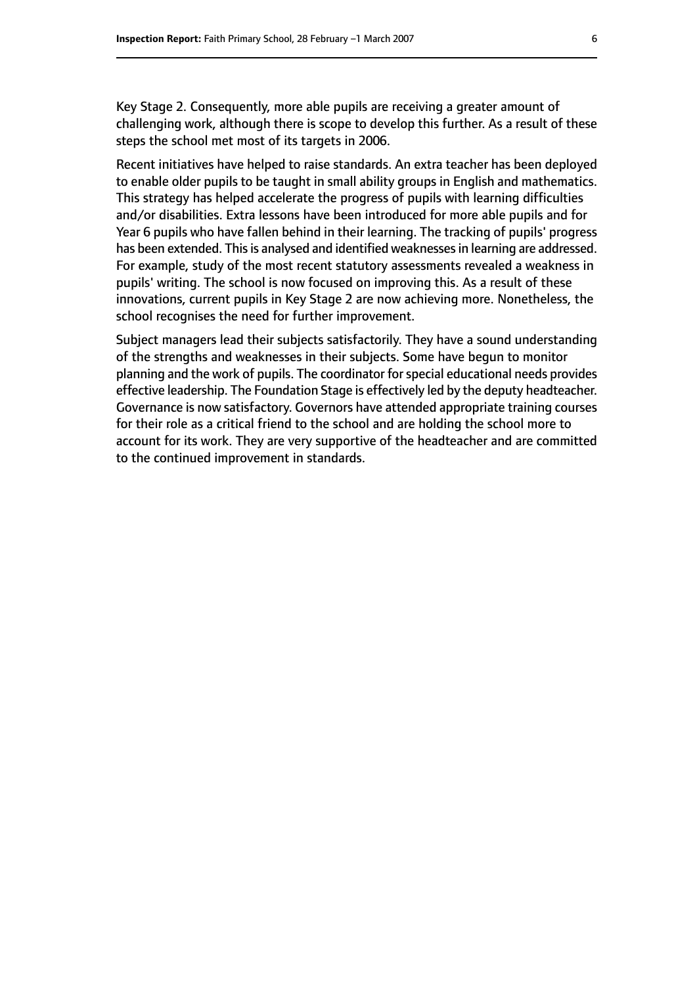Key Stage 2. Consequently, more able pupils are receiving a greater amount of challenging work, although there is scope to develop this further. As a result of these steps the school met most of its targets in 2006.

Recent initiatives have helped to raise standards. An extra teacher has been deployed to enable older pupils to be taught in small ability groups in English and mathematics. This strategy has helped accelerate the progress of pupils with learning difficulties and/or disabilities. Extra lessons have been introduced for more able pupils and for Year 6 pupils who have fallen behind in their learning. The tracking of pupils' progress has been extended. This is analysed and identified weaknesses in learning are addressed. For example, study of the most recent statutory assessments revealed a weakness in pupils' writing. The school is now focused on improving this. As a result of these innovations, current pupils in Key Stage 2 are now achieving more. Nonetheless, the school recognises the need for further improvement.

Subject managers lead their subjects satisfactorily. They have a sound understanding of the strengths and weaknesses in their subjects. Some have begun to monitor planning and the work of pupils. The coordinator for special educational needs provides effective leadership. The Foundation Stage is effectively led by the deputy headteacher. Governance is now satisfactory. Governors have attended appropriate training courses for their role as a critical friend to the school and are holding the school more to account for its work. They are very supportive of the headteacher and are committed to the continued improvement in standards.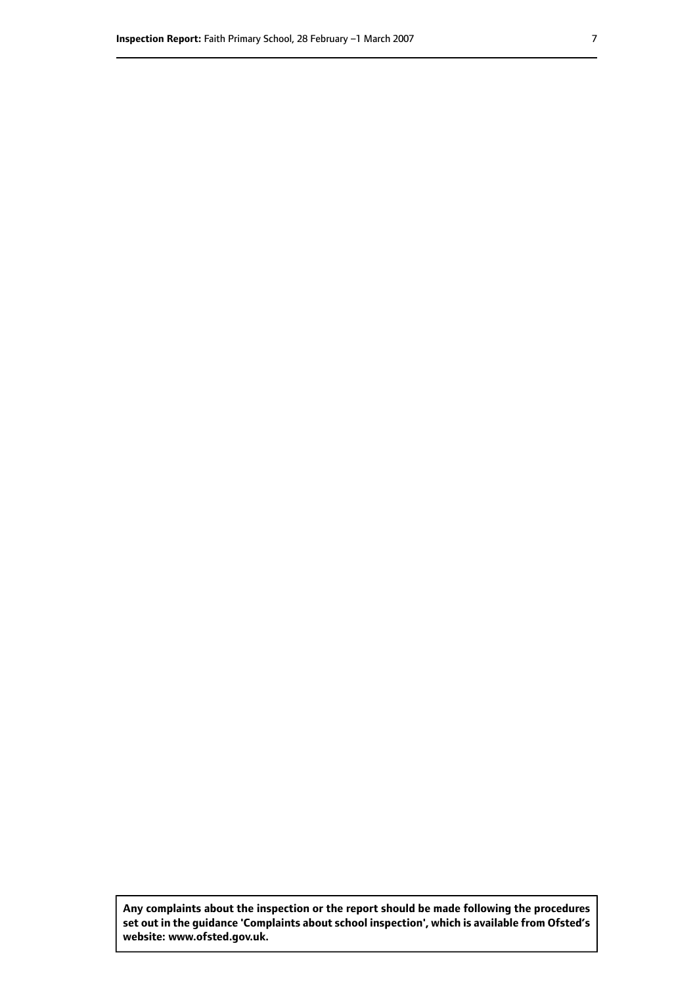**Any complaints about the inspection or the report should be made following the procedures set out inthe guidance 'Complaints about school inspection', whichis available from Ofsted's website: www.ofsted.gov.uk.**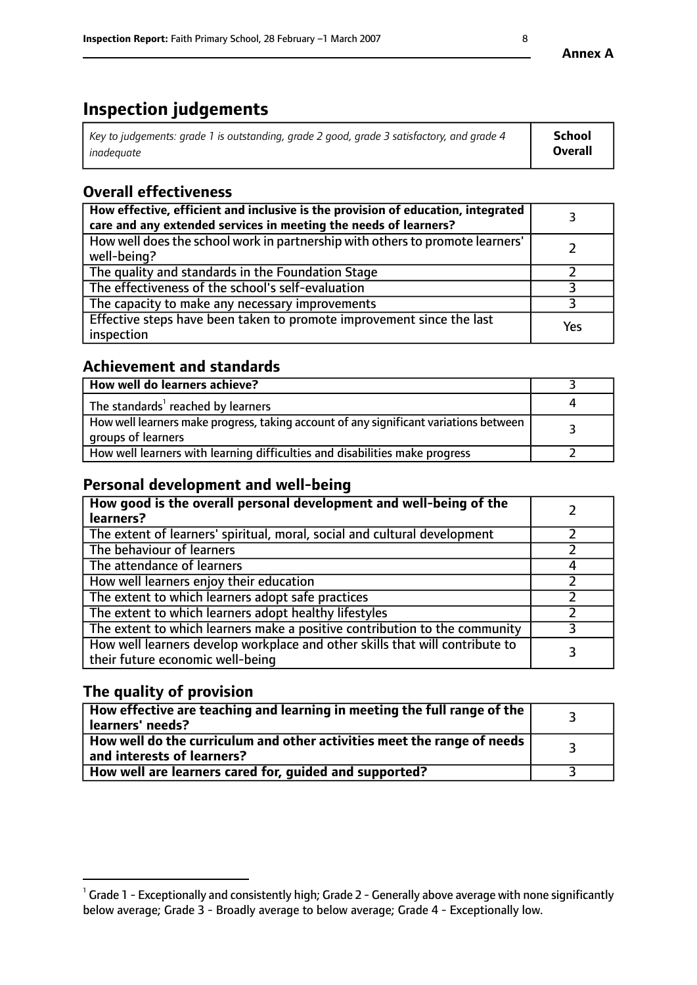# **Inspection judgements**

| Key to judgements: grade 1 is outstanding, grade 2 good, grade 3 satisfactory, and grade 4 | <b>School</b>  |
|--------------------------------------------------------------------------------------------|----------------|
| inadeauate                                                                                 | <b>Overall</b> |

## **Overall effectiveness**

| How effective, efficient and inclusive is the provision of education, integrated<br>care and any extended services in meeting the needs of learners? |     |
|------------------------------------------------------------------------------------------------------------------------------------------------------|-----|
| How well does the school work in partnership with others to promote learners'<br>well-being?                                                         |     |
| The quality and standards in the Foundation Stage                                                                                                    |     |
| The effectiveness of the school's self-evaluation                                                                                                    |     |
| The capacity to make any necessary improvements                                                                                                      |     |
| Effective steps have been taken to promote improvement since the last<br>inspection                                                                  | Yes |

## **Achievement and standards**

| How well do learners achieve?                                                                               |  |
|-------------------------------------------------------------------------------------------------------------|--|
| The standards <sup>1</sup> reached by learners                                                              |  |
| How well learners make progress, taking account of any significant variations between<br>groups of learners |  |
| How well learners with learning difficulties and disabilities make progress                                 |  |

## **Personal development and well-being**

| How good is the overall personal development and well-being of the<br>learners?                                  |  |
|------------------------------------------------------------------------------------------------------------------|--|
| The extent of learners' spiritual, moral, social and cultural development                                        |  |
| The behaviour of learners                                                                                        |  |
| The attendance of learners                                                                                       |  |
| How well learners enjoy their education                                                                          |  |
| The extent to which learners adopt safe practices                                                                |  |
| The extent to which learners adopt healthy lifestyles                                                            |  |
| The extent to which learners make a positive contribution to the community                                       |  |
| How well learners develop workplace and other skills that will contribute to<br>their future economic well-being |  |

## **The quality of provision**

| How effective are teaching and learning in meeting the full range of the<br>learners' needs?          |  |
|-------------------------------------------------------------------------------------------------------|--|
| How well do the curriculum and other activities meet the range of needs<br>and interests of learners? |  |
| How well are learners cared for, guided and supported?                                                |  |

 $^1$  Grade 1 - Exceptionally and consistently high; Grade 2 - Generally above average with none significantly below average; Grade 3 - Broadly average to below average; Grade 4 - Exceptionally low.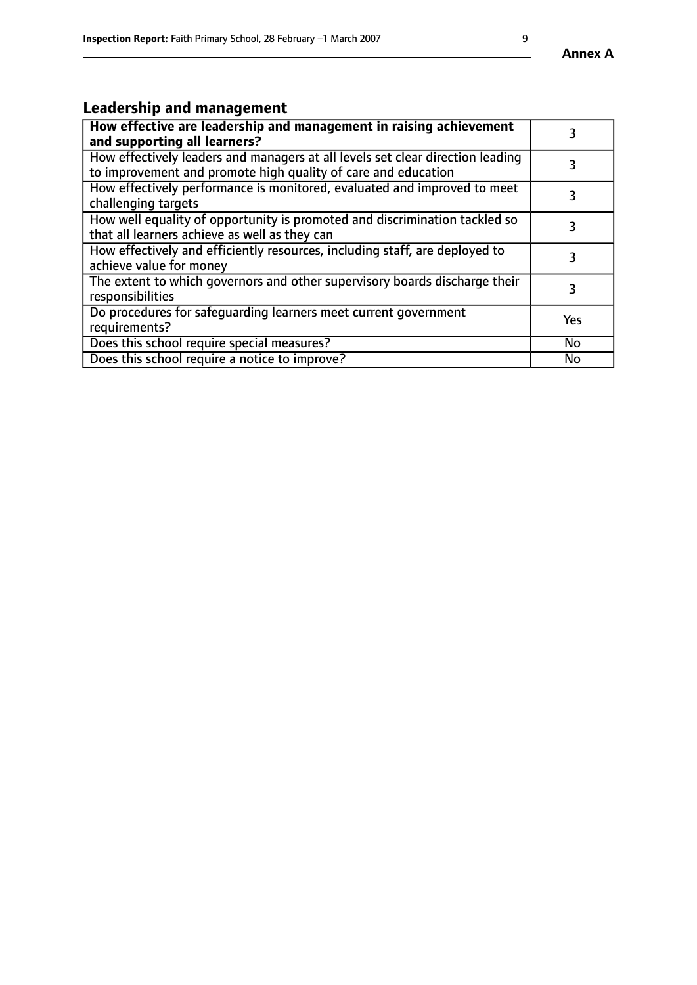# **Leadership and management**

| How effective are leadership and management in raising achievement<br>and supporting all learners?                                              |           |
|-------------------------------------------------------------------------------------------------------------------------------------------------|-----------|
| How effectively leaders and managers at all levels set clear direction leading<br>to improvement and promote high quality of care and education |           |
| How effectively performance is monitored, evaluated and improved to meet<br>challenging targets                                                 | 3         |
| How well equality of opportunity is promoted and discrimination tackled so<br>that all learners achieve as well as they can                     |           |
| How effectively and efficiently resources, including staff, are deployed to<br>achieve value for money                                          | 3         |
| The extent to which governors and other supervisory boards discharge their<br>responsibilities                                                  | 3         |
| Do procedures for safequarding learners meet current government<br>requirements?                                                                | Yes       |
| Does this school require special measures?                                                                                                      | No        |
| Does this school require a notice to improve?                                                                                                   | <b>No</b> |